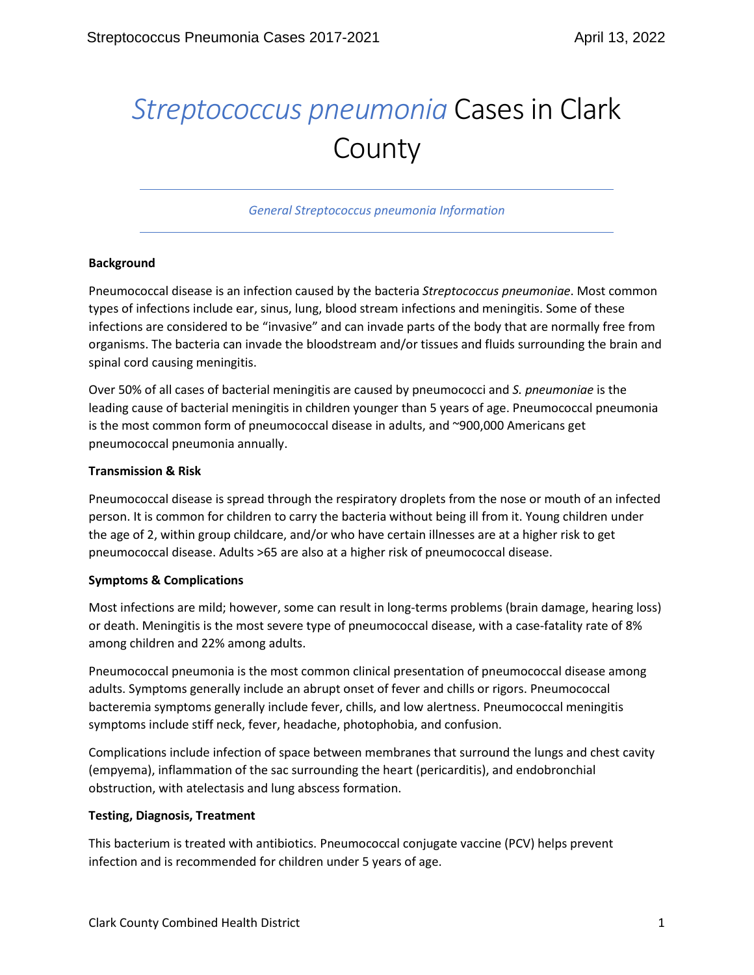# *Streptococcus pneumonia* Cases in Clark County

*General Streptococcus pneumonia Information*

# **Background**

Pneumococcal disease is an infection caused by the bacteria *Streptococcus pneumoniae*. Most common types of infections include ear, sinus, lung, blood stream infections and meningitis. Some of these infections are considered to be "invasive" and can invade parts of the body that are normally free from organisms. The bacteria can invade the bloodstream and/or tissues and fluids surrounding the brain and spinal cord causing meningitis.

Over 50% of all cases of bacterial meningitis are caused by pneumococci and *S. pneumoniae* is the leading cause of bacterial meningitis in children younger than 5 years of age. Pneumococcal pneumonia is the most common form of pneumococcal disease in adults, and ~900,000 Americans get pneumococcal pneumonia annually.

### **Transmission & Risk**

Pneumococcal disease is spread through the respiratory droplets from the nose or mouth of an infected person. It is common for children to carry the bacteria without being ill from it. Young children under the age of 2, within group childcare, and/or who have certain illnesses are at a higher risk to get pneumococcal disease. Adults >65 are also at a higher risk of pneumococcal disease.

# **Symptoms & Complications**

Most infections are mild; however, some can result in long-terms problems (brain damage, hearing loss) or death. Meningitis is the most severe type of pneumococcal disease, with a case-fatality rate of 8% among children and 22% among adults.

Pneumococcal pneumonia is the most common clinical presentation of pneumococcal disease among adults. Symptoms generally include an abrupt onset of fever and chills or rigors. Pneumococcal bacteremia symptoms generally include fever, chills, and low alertness. Pneumococcal meningitis symptoms include stiff neck, fever, headache, photophobia, and confusion.

Complications include infection of space between membranes that surround the lungs and chest cavity (empyema), inflammation of the sac surrounding the heart (pericarditis), and endobronchial obstruction, with atelectasis and lung abscess formation.

# **Testing, Diagnosis, Treatment**

This bacterium is treated with antibiotics. Pneumococcal conjugate vaccine (PCV) helps prevent infection and is recommended for children under 5 years of age.